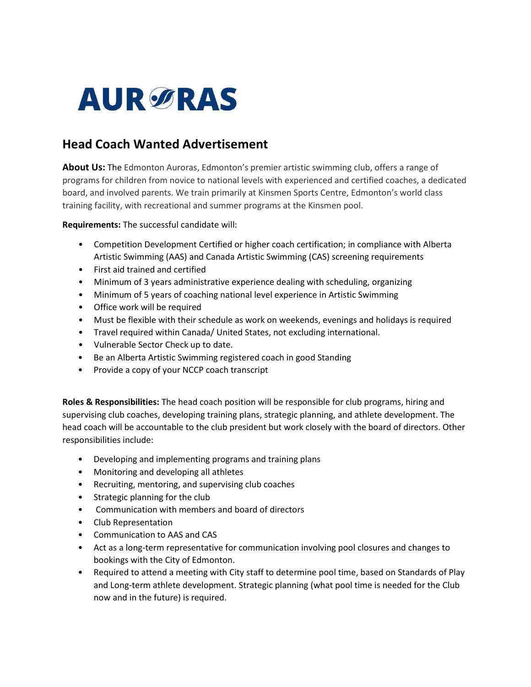# **AURØRAS**

## Head Coach Wanted Advertisement

About Us: The Edmonton Auroras, Edmonton's premier artistic swimming club, offers a range of programs for children from novice to national levels with experienced and certified coaches, a dedicated board, and involved parents. We train primarily at Kinsmen Sports Centre, Edmonton's world class training facility, with recreational and summer programs at the Kinsmen pool.

### Requirements: The successful candidate will:

- Competition Development Certified or higher coach certification; in compliance with Alberta Artistic Swimming (AAS) and Canada Artistic Swimming (CAS) screening requirements
- First aid trained and certified
- Minimum of 3 years administrative experience dealing with scheduling, organizing
- Minimum of 5 years of coaching national level experience in Artistic Swimming
- Office work will be required
- Must be flexible with their schedule as work on weekends, evenings and holidays is required
- Travel required within Canada/ United States, not excluding international.
- Vulnerable Sector Check up to date.
- Be an Alberta Artistic Swimming registered coach in good Standing
- Provide a copy of your NCCP coach transcript

Roles & Responsibilities: The head coach position will be responsible for club programs, hiring and supervising club coaches, developing training plans, strategic planning, and athlete development. The head coach will be accountable to the club president but work closely with the board of directors. Other responsibilities include:

- Developing and implementing programs and training plans
- Monitoring and developing all athletes
- Recruiting, mentoring, and supervising club coaches
- Strategic planning for the club
- Communication with members and board of directors
- Club Representation
- Communication to AAS and CAS
- Act as a long-term representative for communication involving pool closures and changes to bookings with the City of Edmonton.
- Required to attend a meeting with City staff to determine pool time, based on Standards of Play and Long-term athlete development. Strategic planning (what pool time is needed for the Club now and in the future) is required.